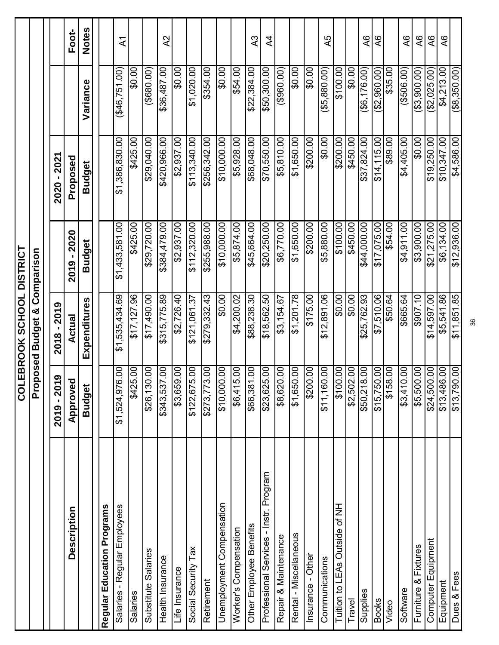|                                        | <b>LIOS</b>                 | <b>EBROOK SCHOOL DISTRICT</b>           |                |                |                 |                 |
|----------------------------------------|-----------------------------|-----------------------------------------|----------------|----------------|-----------------|-----------------|
|                                        |                             | <b>Proposed Budget &amp; Comparison</b> |                |                |                 |                 |
|                                        | $-2019$<br>2019             | $-2019$<br>2018                         |                | 2021<br>2020   |                 |                 |
| Description                            | Approved                    | Actual                                  | 2019 - 2020    | Proposed       |                 | Foot-           |
|                                        | <b>Budget</b>               | Expenditures                            | <b>Budget</b>  | <b>Budget</b>  | Variance        | <b>Notes</b>    |
| Regular Education Programs             |                             |                                         |                |                |                 |                 |
| Salaries - Regular Employees           | S<br>\$1,524,976            | \$1,535,434.69                          | \$1,433,581.00 | \$1,386,830.00 | (646, 751.00)   | $\overline{A}$  |
| Salaries                               | S.<br>\$425.                | \$17,127.96                             | \$425.00       | \$425.00       | \$0.00          |                 |
| Substitute Salaries                    | OO.<br>\$26,130             | \$17,490.00                             | \$29,720.00    | \$29,040.00    | (90.086)        |                 |
| Health Insurance                       | OO.<br>\$343,537            | \$315,775.89                            | 00'627'r88\$   | \$420,966.00   | \$36,487.00     | $\lambda$ 2     |
| Life Insurance                         | S<br>\$3,659.               | \$2,726.40                              | \$2,937.00     | \$2,937.00     | \$0.00          |                 |
| Social Security Tax                    | OO.<br>\$122,675            | \$121,061.37                            | \$112,320.00   | \$113,340.00   | \$1,020.00      |                 |
| Retirement                             | 00.877,872                  | \$279,332.43                            | \$255,988.00   | \$256,342.00   | \$354.00        |                 |
| Unemployment Compensation              | $\overline{00}$<br>\$10,000 | \$0.00                                  | \$10,000.00    | \$10,000.00    | \$0.00          |                 |
| Worker's Compensation                  | OO.<br>\$6,415.             | \$4,200.02                              | \$5,874.00     | \$5,928.00     | \$54.00         |                 |
| Other Employee Benefits                | S<br>\$66,381               | \$88,238.30                             | \$45,664.00    | \$68,048.00    | \$22,384.00     | $\lambda$ 3     |
| Professional Services - Instr. Program | OO.<br>\$23,625             | \$18,562.50                             | \$20,250.00    | \$70,550.00    | \$50,300.00     | $\overline{4}$  |
| Repair & Maintenance                   | S<br>\$8,620.               | \$3,154.67                              | \$6,770.00     | \$5,810.00     | (960.00)        |                 |
| Rental - Miscellaneous                 | OO.<br>\$1,650.             | \$1,201.78                              | \$1,650.00     | \$1,650.00     | \$0.00          |                 |
| Insurance - Other                      | OO.<br>\$200.               | \$175.00                                | \$200.00       | \$200.00       | \$0.00          |                 |
| Communications                         | OO.<br>\$11,160             | \$12,891.06                             | \$5,880.00     | \$0.00         | ( \$5,880.00)   | A5              |
| Tuition to LEAs Outside of NH          | S<br>\$100.                 | \$0.00                                  | \$100.00       | \$200.00       | \$100.00        |                 |
| Travel                                 | OO.<br>\$2,502.             | \$0.00                                  | \$450.00       | \$450.00       | \$0.00          |                 |
| Supplies                               | OO.<br>\$50,218             | \$25,762.93                             | \$44,000.00    | \$37,824.00    | $($ \$6,176.00) | $\infty$        |
| <b>Books</b>                           | 00.<br>\$15,750             | \$7,510.06                              | \$17,075.00    | \$14,115.00    | (\$2,960.00)    | $\overline{A}6$ |
| Video                                  | OO.<br>\$158.               | \$50.64                                 | \$54.00        | \$89.00        | \$35.00         |                 |
| Software                               | OO.<br>\$3,410.             | \$665.64                                | \$4,911.00     | \$4,405.00     | ( \$506.00]     | $\overline{A}$  |
| Furniture & Fixtures                   | OO.<br>\$5,500              | \$907.10                                | \$3,900.00     | \$0.00         | (33,900.00)     | QV              |
| Computer Equipment                     | .00<br>\$24,500             | \$14,597.00                             | \$21,275.00    | \$19,250.00    | (62,025.00)     | $\infty$        |
| Equipment                              | \$13,486.00                 | \$5,541.86                              | \$6,134.00     | \$10,347.00    | \$4,213.00      | 9Y              |
| Dues & Fees                            | 00.1<br>\$13,790            | \$11,851.85                             | \$12,936.00    | \$4,586.00     | $($ \$8,350.00) |                 |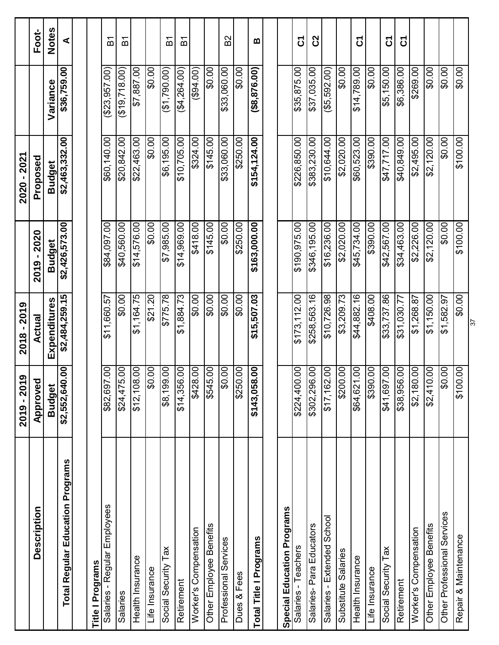|                                         | ග<br>2019 - 201               | 2018 - 2019           |                | 2020 - 2021    |                    |              |
|-----------------------------------------|-------------------------------|-----------------------|----------------|----------------|--------------------|--------------|
| <b>Description</b>                      | Approved                      | Actual                | 2019 - 2020    | Proposed       |                    | Foot-        |
|                                         | <b>Budget</b>                 | Expenditures          | <b>Budget</b>  | <b>Budget</b>  | Variance           | <b>Notes</b> |
| <b>Total Regular Education Programs</b> | $\overline{5}$<br>\$2,552,640 | \$2,484,259.15        | \$2,426,573.00 | \$2,463,332.00 | \$36,759.00        | ⋖            |
|                                         |                               |                       |                |                |                    |              |
| <b>Title I Programs</b>                 |                               |                       |                |                |                    |              |
| Salaries - Regular Employees            | $\overline{0}$<br>\$82,697    | \$11,660.57           | \$84,097.00    | \$60,140.00    | (\$23,957.00)      | こと           |
| Salaries                                | S<br>\$24,475                 | \$0.00                | \$40,560.00    | \$20,842.00    | (19,718.00)        | 인            |
| Health Insurance                        | OO.<br>\$12,108               | \$1,164.75            | \$14,576.00    | \$22,463.00    | \$7,887.00         |              |
| Life Insurance                          | OO.<br>œ                      | \$21.20               | \$0.00         | \$0.00         | \$0.00             |              |
| Social Security Tax                     | S<br>\$8,199.                 | \$775.78              | \$7,985.00     | \$6,195.00     | (\$1,790.00)       | <u>은</u>     |
| Retirement                              | OO.<br>\$14,356.              | \$1,884.73            | \$14,969.00    | \$10,705.00    | (44,264.00)        | 인            |
| Worker's Compensation                   | $\overline{0}$<br>\$428       | \$0.00                | \$418.00       | \$324.00       | (694.00)           |              |
| Other Employee Benefits                 | OO.<br>\$545                  | \$0.00                | \$145.00       | \$145.00       | \$0.00             |              |
| Professional Services                   | S<br>œ                        | \$0.00                | \$0.00         | \$33,060.00    | \$33,060.00        | <b>B2</b>    |
| Dues & Fees                             | OO.<br>\$250                  | \$0.00                | \$250.00       | \$250.00       | \$0.00             |              |
| Total Title I Programs                  | .00<br>\$143,058              | \$15,507.03           | \$163,000.00   | \$154,124.00   | $($ \$8,876.00 $)$ | $\mathbf{m}$ |
|                                         |                               |                       |                |                |                    |              |
| Special Education Programs              |                               |                       |                |                |                    |              |
| Salaries - Teachers                     | OO.<br>\$224,400              | \$173,112.00          | \$190,975.00   | \$226,850.00   | \$35,875.00        | <u>ნ</u>     |
| Salaries-Para Educators                 | OO.<br>\$302,296              | \$258,563.16          | \$346,195.00   | \$383,230.00   | \$37,035.00        | <b>S</b>     |
| Salaries - Extended School              | S<br>\$17,162                 | \$10,726.98           | \$16,236.00    | \$10,644.00    | ( \$5,592.00)      |              |
| Substitute Salaries                     | OO.<br>\$200.                 | \$3,209.73            | \$2,020.00     | \$2,020.00     | \$0.00             |              |
| Health Insurance                        | OO.<br>\$64,621               | \$44,882.16           | \$45,734.00    | \$60,523.00    | \$14,789.00        | δ            |
| Life Insurance                          | S<br>\$390                    | \$408.00              | \$390.00       | \$390.00       | \$0.00             |              |
| Social Security Tax                     | S<br>\$41,697.                | \$33,737.86           | \$42,567.00    | 847,717.00     | \$5,150.00         | <u>ნ</u>     |
| Retirement                              | OO.<br>\$38,956               | \$31,030.77           | \$34,463.00    | \$40,849.00    | \$6,386.00         | δ            |
| Worker's Compensation                   | S<br>\$2,180.                 | \$1,268.87            | \$2,226.00     | \$2,495.00     | 00.692\$           |              |
| Other Employee Benefits                 | S<br>\$2,410                  | \$1,150.00            | \$2,120.00     | \$2,120.00     | \$0.00             |              |
| Other Professional Services             | O.<br>œ                       | \$1,582.97            | \$0.00         | \$0.00         | \$0.00             |              |
| Repair & Maintenance                    | S<br>$\frac{1}{200}$          | \$0.00                | \$100.00       | \$100.00       | \$0.00             |              |
|                                         |                               | $\overline{\epsilon}$ |                |                |                    |              |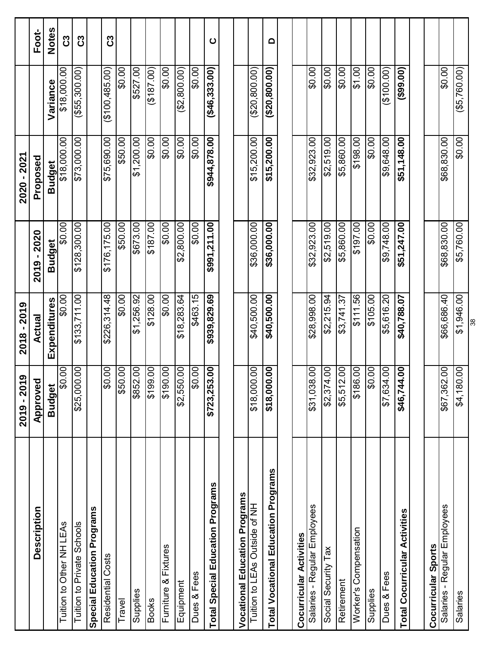|                                            | 2019 - 201                    | 2018 - 2019  |                         | 2020 - 2021                  |                     |              |
|--------------------------------------------|-------------------------------|--------------|-------------------------|------------------------------|---------------------|--------------|
| Description                                |                               | Actual       | 2019 - 2020             |                              |                     | Foot-        |
|                                            | Approved                      |              |                         | Proposed                     | Variance            | <b>Notes</b> |
| Tuition to Other NH LEAs                   | \$Ö.<br><b>Budget</b>         | Expenditures | \$0.00<br><b>Budget</b> | \$18,000.00<br><b>Budget</b> |                     |              |
|                                            | 8                             | \$0.00       |                         |                              | \$18,000.00         | ပိ           |
| Tuition to Private Schools                 | 8<br>\$25,000                 | \$133,711.00 | \$128,300.00            | \$73,000.00                  | $($ \$55,300.00 $)$ | ပိ           |
| Special Education Programs                 |                               |              |                         |                              |                     |              |
| Residential Costs                          | $\mathcal{S}$<br>င္တ          | \$226,314.48 | \$176,175.00            | \$75,690.00                  | (100, 485.00)       | ပိ           |
| Travel                                     | S<br>\$50.                    | \$0.00       | \$50.00                 | \$50.00                      | \$0.00              |              |
| Supplies                                   | $\mathsf{S}$<br>\$852.        | \$1,256.92   | \$673.00                | \$1,200.00                   | \$527.00            |              |
| <b>Books</b>                               | $\overline{00}$<br>\$199.     | \$128.00     | \$187.00                | \$0.00                       | (187.00)            |              |
| Furniture & Fixtures                       | S<br>\$190.                   | \$0.00       | \$0.00                  | \$0.00                       | \$0.00              |              |
| Equipment                                  | S<br>\$2,550.                 | \$18,283.64  | \$2,800.00              | \$0.00                       | (\$2,800.00)        |              |
| Dues & Fees                                | $\mathsf{S}$<br>\$Ö.          | \$463.15     | \$0.00                  | \$0.00                       | \$0.00              |              |
| <b>Total Special Education Programs</b>    | S<br>\$723,253                | \$939,829.69 | \$991,211.00            | \$944,878.00                 | (46, 333.00)        | $\mathbf C$  |
|                                            |                               |              |                         |                              |                     |              |
| <b>Vocational Education Programs</b>       |                               |              |                         |                              |                     |              |
| Tuition to LEAs Outside of NH              | $\mathsf{S}$<br>\$18,000      | \$40,500.00  | \$36,000.00             | \$15,200.00                  | (20, 800.00)        |              |
| <b>Total Vocational Education Programs</b> | $\mathbf{S}$<br>\$18,000      | \$40,500.00  | \$36,000.00             | \$15,200.00                  | (20,800.00)         | $\Omega$     |
|                                            |                               |              |                         |                              |                     |              |
| Cocurricular Activities                    |                               |              |                         |                              |                     |              |
| Salaries - Regular Employees               | S<br>\$31,038                 | \$28,998.00  | \$32,923.00             | \$32,923.00                  | \$0.00              |              |
| Social Security Tax                        | S<br>\$2,374.                 | \$2,215.94   | \$2,519.00              | \$2,519.00                   | \$0.00]             |              |
| Retirement                                 | $\overline{00}$<br>\$5,512.   | \$3,741.37   | \$5,860.00              | \$5,860.00                   | 00.0\$              |              |
| Worker's Compensation                      | S<br>\$186.                   | \$111.56     | \$197.00                | 00.861\$                     | \$1.00              |              |
| Supplies                                   | $\infty$<br>င္တ               | \$105.00     | \$0.00                  | \$0.00                       | \$0.00              |              |
| Dues & Fees                                | $\mathcal{S}_{0}$<br>\$7,634. | \$5,616.20   | \$9,748.00              | \$9,648.00                   | (100.00)            |              |
| <b>Total Cocurricular Activities</b>       | $\mathbf{S}$<br>\$46,744      | \$40,788.07  | \$51,247.00             | \$51,148.00                  | (99.00)             |              |
|                                            |                               |              |                         |                              |                     |              |
| Cocurricular Sports                        |                               |              |                         |                              |                     |              |
| Salaries - Regular Employees               | $\Theta$<br>\$67,362          | \$66,686.40  | \$68,830.00             | \$68,830.00                  | \$0.00              |              |
| Salaries                                   | <b>OO</b><br>\$4,180.         | \$1,946.00   | \$5,760.00              | \$0.00                       | $($ \$5,760.00)     |              |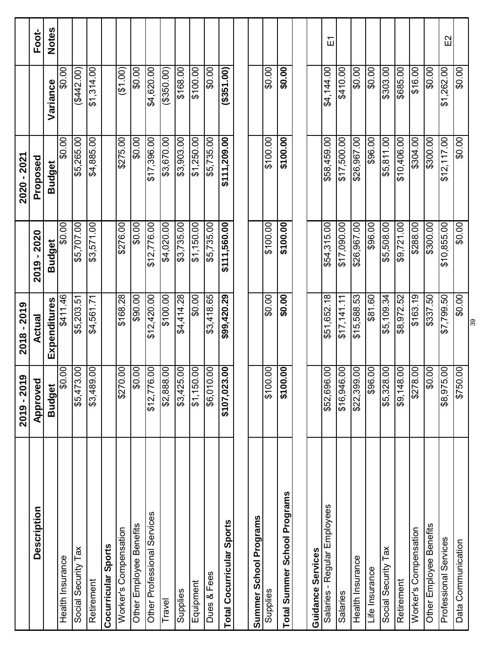|                                  | ၜ<br>2019 - 201            | 2018 - 2019   |               | 2020 - 2021   |            |              |
|----------------------------------|----------------------------|---------------|---------------|---------------|------------|--------------|
| Description                      | Approved                   | <b>Actual</b> | 2019 - 2020   | Proposed      |            | Foot-        |
|                                  | <b>Budget</b>              | Expenditures  | <b>Budget</b> | <b>Budget</b> | Variance   | <b>Notes</b> |
| Health Insurance                 | S<br>႙ၟ                    | \$411.46      | \$0.00        | \$0.00        | \$0.00     |              |
| Social Security Tax              | S<br>\$5,473.              | \$5,203.51    | \$5,707.00    | \$5,265.00    | (4442.00)  |              |
| Retirement                       | OO.<br>\$3,489.            | \$4,561.71    | \$3,571.00    | \$4,885.00    | \$1,314.00 |              |
| Cocurricular Sports              |                            |               |               |               |            |              |
| Worker's Compensation            | OO.<br>\$270               | \$168.28      | \$276.00      | \$275.00      | (61.00)    |              |
| Other Employee Benefits          | S.<br>$0\frac{4}{3}$       | \$90.00       | \$0.00]       | \$0.00        | \$0.00     |              |
| Other Professional Services      | 00<br>\$12,776.            | \$12,420.00   | \$12,776.00   | \$17,396.00   | \$4,620.00 |              |
| Travel                           | OO.<br>\$2,888.            | \$100.00      | \$4,020.00    | \$3,670.00    | (350.00)   |              |
| Supplies                         | S<br>\$3,425.              | \$4,414.28    | \$3,735.00    | \$3,903.00    | \$168.00   |              |
| Equipment                        | S<br>$$1,150$ .            | \$0.00        | \$1,150.00    | \$1,250.00    | \$100.00   |              |
| Dues & Fees                      | S<br>\$6,010.              | \$3,418.65    | \$5,735.00    | \$5,735.00    | \$0.00     |              |
| <b>Total Cocurricular Sports</b> | S.<br>\$107,023            | \$99,420.29   | \$111,560.00  | \$111,209.00  | (1, 00)    |              |
|                                  |                            |               |               |               |            |              |
| Summer School Programs           |                            |               |               |               |            |              |
| Supplies                         | S<br>\$100.                | \$0.00        | \$100.00      | \$100.00      | \$0.00     |              |
| Total Summer School Programs     | OO.<br>\$100.              | \$0.00        | \$100.00      | \$100.00      | \$0.00     |              |
|                                  |                            |               |               |               |            |              |
| Guidance Services                |                            |               |               |               |            |              |
| Salaries - Regular Employees     | S<br>\$52,696              | \$51,652.18   | \$54,315.00   | \$58,459.00   | \$4,144.00 | ய்           |
| Salaries                         | S<br>\$16,946              | \$17,141.11   | \$17,090.00   | \$17,500.00   | \$410.00   |              |
| Health Insurance                 | 00.<br>\$22,399            | \$15,588.53   | \$26,967.00   | \$26,967.00   | \$0.00     |              |
| Life Insurance                   | OO.<br>$\frac{1}{3}$       | \$81.60       | \$96.00       | \$96.00       | \$0.00     |              |
| Social Security Tax              | OO.<br>\$5,328.            | \$5,109.34    | \$5,508.00    | \$5,811.00    | \$303.00   |              |
| Retirement                       | S<br>\$9,148.              | \$8,972.52    | \$9,721.00    | \$10,406.00   | \$685.00   |              |
| Worker's Compensation            | S<br>\$278.                | \$163.19      | \$288.00      | \$304.00      | \$16.00    |              |
| Other Employee Benefits          | S<br>œ                     | \$337.50      | \$300.00      | \$300.00      | \$0.00     |              |
| Professional Services            | $\overline{S}$<br>\$8,975. | \$7,799.50    | \$10,855.00   | \$12,117.00   | \$1,262.00 | $\Xi$        |
| Data Communication               | OO.<br>\$750               | \$0.00        | \$0.00        | \$0.00]       | \$0.00]    |              |
|                                  |                            | 39            |               |               |            |              |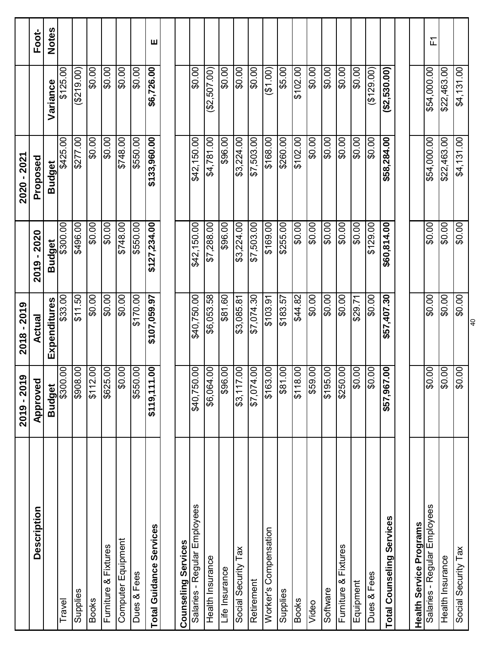|                                  | ၜ<br>2019 - 201             | 2018 - 2019    |                           | 2020 - 2021   |                 |              |
|----------------------------------|-----------------------------|----------------|---------------------------|---------------|-----------------|--------------|
| Description                      | Approved                    | <b>Actual</b>  | 2019 - 2020               | Proposed      |                 | Foot-        |
|                                  | <b>Budget</b>               | Expenditures   | <b>Budget</b>             | <b>Budget</b> | Variance        | <b>Notes</b> |
| Travel                           | $\mathcal{S}_{0}$<br>\$300. | \$33.00        | \$300.00                  | \$425.00      | \$125.00        |              |
| Supplies                         | S<br>\$908                  | \$11.50        | \$496.00                  | \$277.00      | (5219.00)       |              |
| <b>Books</b>                     | S<br>$\frac{1}{2}$          | \$0.00         | $\overline{\text{SO.00}}$ | \$0.00        | \$0.00          |              |
| Furniture & Fixtures             | OO.<br>$\frac{1}{100}$      | \$0.00         | \$0.00                    | \$0.00        | \$0.00          |              |
| Computer Equipment               | OO.<br>œ                    | \$0.00         | \$748.00                  | \$748.00      | \$0.00          |              |
| Dues & Fees                      | $\overline{00}$<br>\$550    | \$170.00       | \$550.00                  | \$550.00      | 00.0\$          |              |
| <b>Total Guidance Services</b>   | .00<br>\$119,111            | \$107,059.97   | \$127,234.00              | \$133,960.00  | \$6,726.00      | ш            |
|                                  |                             |                |                           |               |                 |              |
| Counseling Services              |                             |                |                           |               |                 |              |
| Salaries - Regular Employees     | S<br>\$40,750               | \$40,750.00    | \$42,150.00               | \$42,150.00   | \$0.00          |              |
| Health Insurance                 | S.<br>\$6,064.              | \$6,053.58     | \$7,288.00                | \$4,781.00    | (62,507.00)     |              |
| Life Insurance                   | OO.<br>\$96                 | \$81.60        | \$96.00                   | \$96.00       | \$0.00          |              |
| Social Security Tax              | S<br>$$3,117$ .             | \$3,085.81     | \$3,224.00                | \$3,224.00    | \$0.00          |              |
| Retirement                       | S.<br>\$7,074.              | \$7,074.30     | \$7,503.00                | \$7,503.00    | \$0.00          |              |
| Worker's Compensation            | S<br>$\frac{1}{63}$         | \$103.91       | \$169.00                  | \$168.00      | (61.00)         |              |
| Supplies                         | S<br>\$81                   | \$183.57       | \$255.00                  | \$260.00      | \$5.00          |              |
| <b>Books</b>                     | OO.<br>$\frac{18}{318}$     | \$44.82        | 50.00                     | \$102.00      | \$102.00        |              |
| Video                            | OO.<br>\$59                 | \$0.00         | \$0.00                    | \$0.00        | \$0.00          |              |
| Software                         | OO.<br>\$195.               | \$0.00         | \$0.00                    | \$0.00        | \$0.00          |              |
| Furniture & Fixtures             | S<br>\$250                  | \$0.00         | \$0.00                    | \$0.00        | \$0.00          |              |
| Equipment                        | S<br>œ                      | \$29.71        | \$0.00                    | \$0.00        | \$0.00          |              |
| Dues & Fees                      | S<br>$\Omega$               | \$0.00         | \$129.00                  | \$0.00        | (129.00)        |              |
| <b>Total Counseling Services</b> | S.<br>\$57,967.             | \$57,407.30    | \$60,814.00               | \$58,284.00   | $($ \$2,530.00) |              |
|                                  |                             |                |                           |               |                 |              |
| Health Service Programs          |                             |                |                           |               |                 |              |
| Salaries - Regular Employees     | S<br>\$O                    | \$0.00         | \$0.00                    | \$54,000.00   | \$54,000.00     | 工            |
| Health Insurance                 | $\overline{5}$<br>œ         | \$0.00         | \$0.00                    | \$22,463.00   | \$22,463.00     |              |
| Social Security Tax              | OO.<br><b>Q\$</b>           | \$0.00         | \$0.00                    | \$4,131.00    | \$4,131.00      |              |
|                                  |                             | $\overline{Q}$ |                           |               |                 |              |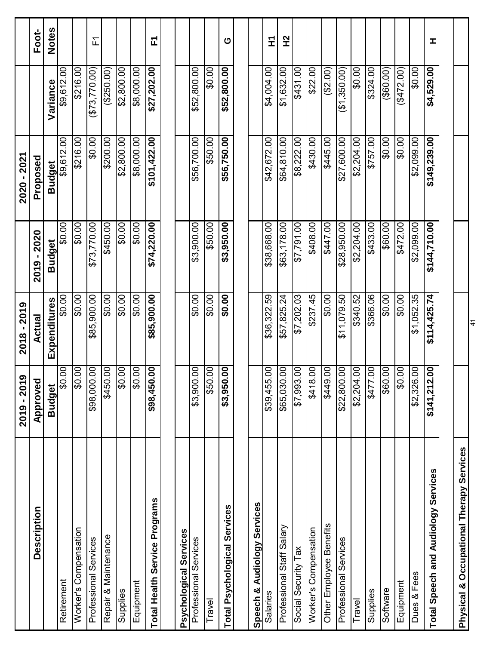|                                          | ග<br>2019 - 201                 | 2018 - 2019   |                 | 2020 - 2021   |               |              |
|------------------------------------------|---------------------------------|---------------|-----------------|---------------|---------------|--------------|
| Description                              | Approved                        | <b>Actual</b> | $-2020$<br>2019 | Proposed      |               | Foot-        |
|                                          | <b>Budget</b>                   | Expenditures  | <b>Budget</b>   | <b>Budget</b> | Variance      | <b>Notes</b> |
| Retirement                               | S<br>င္တ                        | \$0.00        | \$0.00          | \$9,612.00    | \$9,612.00    |              |
| Worker's Compensation                    | $\overline{5}$<br>$\frac{8}{2}$ | \$0.00        | \$0.00          | \$216.00      | \$216.00      |              |
| Professional Services                    | OO.<br>\$98,000                 | \$85,900.00   | 873,770.00      | \$0.00        | (\$73,770.00) | 丘            |
| Repair & Maintenance                     | S.<br>\$450.                    | \$0.00        | \$450.00        | \$200.00      | (\$250.00)    |              |
| Supplies                                 | OO.<br>န္တ                      | \$0.00        | \$0.00]         | \$2,800.00    | \$2,800.00    |              |
| Equipment                                | $\overline{0}$<br>$\frac{8}{2}$ | \$0.00        | \$0.00          | \$8,000.00    | \$8,000.00    |              |
| <b>Total Health Service Programs</b>     | S.<br>\$98,450                  | \$85,900.00   | \$74,220.00     | \$101,422.00  | \$27,202.00   | 고            |
|                                          |                                 |               |                 |               |               |              |
| Psychological Services                   |                                 |               |                 |               |               |              |
| Professional Services                    | OO.<br>\$3,900                  | \$0.00        | \$3,900.00      | \$56,700.00   | \$52,800.00   |              |
| Travel                                   | 00<br>09\$                      | \$0.00        | \$50.00         | \$50.00       | \$0.00        |              |
| <b>Total Psychological Services</b>      | 8.<br>\$3,950.                  | \$0.00        | \$3,950.00      | \$56,750.00   | \$52,800.00   | ပ            |
|                                          |                                 |               |                 |               |               |              |
| Audiology Services<br>Speech &           |                                 |               |                 |               |               |              |
| Salaries                                 | S.<br>\$39,455                  | \$36,322.59   | \$38,668.00     | \$42,672.00   | \$4,004.00    | E            |
| Professional Staff Salary                | $\overline{0}$<br>\$65,030      | \$57,825.24   | \$63,178.00     | \$64,810.00   | \$1,632.00    | 2H           |
| Social Security Tax                      | $\overline{5}$<br>\$7,993       | \$7,202.03    | \$7,791.00      | \$8,222.00    | 001843        |              |
| Worker's Compensation                    | 00<br>\$418                     | \$237.45      | \$408.00        | \$430.00      | \$22.00       |              |
| Other Employee Benefits                  | 00<br>677\$                     | \$0.00        | 8447.00         | \$445.00      | (62.00)       |              |
| Professional Services                    | OO.<br>\$22,800                 | \$11,079.50   | \$28,950.00     | \$27,600.00   | (\$1,350.00)  |              |
| Travel                                   | O.<br>\$2,204.                  | \$340.52      | \$2,204.00      | \$2,204.00    | \$0.00        |              |
| Supplies                                 | S<br>\$477                      | \$366.06      | \$433.00        | \$757.00      | \$324.00      |              |
| Software                                 | OO.<br>\$60                     | \$0.00        | \$60.00         | \$0.00        | $($ \$60.00)  |              |
| Equipment                                | OO.<br>\$                       | \$0.00        | \$472.00        | \$0.00        | (11/12.00)    |              |
| Dues & Fees                              | S.<br>\$2,326                   | \$1,052.35    | \$2,099.00      | \$2,099.00    | \$0.00        |              |
| Total Speech and Audiology Services      | .00<br>\$141,212                | \$114,425.74  | \$144,710.00    | \$149,239.00  | \$4,529.00    | I            |
|                                          |                                 |               |                 |               |               |              |
| Physical & Occupational Therapy Services |                                 |               |                 |               |               |              |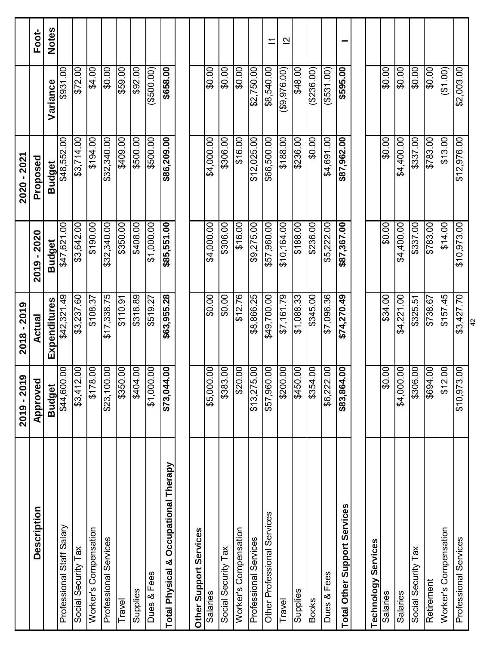|                                                     | ၜ<br>2019 - 201            | 2018 - 2019   |               | 2020 - 2021   |                 |                         |
|-----------------------------------------------------|----------------------------|---------------|---------------|---------------|-----------------|-------------------------|
| Description                                         | Approved                   | <b>Actual</b> | 2019 - 2020   | Proposed      |                 | Foot-                   |
|                                                     | <b>Budget</b>              | Expenditures  | <b>Budget</b> | <b>Budget</b> | Variance        | <b>Notes</b>            |
| Professional Staff Salary                           | $\overline{0}$<br>\$44,600 | \$42,321.49   | \$47,621.00   | \$48,552.00   | \$931.00        |                         |
| Social Security Tax                                 | S.<br>\$3,412              | \$3,237.60    | \$3,642.00    | \$3,714.00    | \$72.00         |                         |
| Worker's Compensation                               | S.<br>$rac{8}{218}$        | \$108.37      | \$190.00      | \$194.00      | \$4.00          |                         |
| Professional Services                               | .00<br>\$23,100            | \$17,338.75   | \$32,340.00   | \$32,340.00   | \$0.00          |                         |
| Travel                                              | $\overline{0}$<br>\$350    | \$110.91      | \$350.00      | \$409.00      | \$59.00         |                         |
| Supplies                                            | OO.<br>6404                | \$318.89      | \$408.00      | \$500.00      | 00'26\$         |                         |
| Dues & Fees                                         | OO.<br>\$1,000.            | \$519.27      | \$1,000.00    | \$500.00      | (3500.00)       |                         |
| Occupational Therapy<br><b>Total Physical &amp;</b> | .00<br>\$73,044            | \$63,955.28   | \$85,551.00   | \$86,209.00   | \$658.00        |                         |
|                                                     |                            |               |               |               |                 |                         |
| Other Support Services                              |                            |               |               |               |                 |                         |
| Salaries                                            | S<br>\$5,000               | \$0.00        | \$4,000.00    | \$4,000.00    | \$0.00          |                         |
| Social Security Tax                                 | OO.<br>\$383.              | \$0.00        | \$306.00      | 00:908\$      | \$0.00          |                         |
| Worker's Compensation                               | OO.<br>\$20                | \$12.76       | \$16.00       | \$16.00       | \$0.00          |                         |
| Professional Services                               | OO.<br>\$13,275.           | \$8,866.25    | \$9,275.00    | \$12,025.00   | \$2,750.00      |                         |
| Other Professional Services                         | OO.<br>\$57,960            | \$49,700.00   | \$57,960.00   | \$66,500.00   | \$8,540.00      | $\overline{ }$          |
| Travel                                              | OO.<br>$\frac{1}{200}$     | \$7,161.79    | \$10,164.00   | \$188.00      | $($ \$9,976.00) | $\overline{\mathbf{C}}$ |
| Supplies                                            | OO.<br>\$450               | \$1,088.33    | 6188.00       | \$236.00      | \$48.00         |                         |
| <b>Books</b>                                        | S.<br>\$354                | \$345.00      | \$236.00      | \$0.00        | (236.00)        |                         |
| Dues & Fees                                         | OO.<br>\$6,222             | \$7,096.36    | \$5,222.00    | \$4,691.00    | $($ \$531.00)   |                         |
| Total Other Support Services                        | .00<br>\$83,864            | \$74,270.49   | \$87,367.00   | \$87,962.00   | \$595.00        |                         |
|                                                     |                            |               |               |               |                 |                         |
| <b>Technology Services</b>                          |                            |               |               |               |                 |                         |
| Salaries                                            | S<br>$\overline{03}$       | \$34.00       | \$0.00]       | \$0.00        | 00.0\$          |                         |
| Salaries                                            | OO.<br>\$4,000.            | \$4,221.00    | \$4,400.00    | \$4,400.00    | \$0.00          |                         |
| Social Security Tax                                 | S<br>\$306.                | \$325.51      | \$337.00      | 00.788\$      | \$0.00          |                         |
| Retirement                                          | OO.<br>\$694               | \$738.67      | \$783.00      | \$783.00      | \$0.00          |                         |
| Worker's Compensation                               | OO.<br>\$12                | \$157.45      | \$14.00       | \$13.00       | (61.00)         |                         |
| Professional Services                               | OO.<br>\$10,973.           | \$3,427.70    | \$10,973.00   | \$12,976.00   | \$2,003.00      |                         |
|                                                     |                            | $\frac{2}{3}$ |               |               |                 |                         |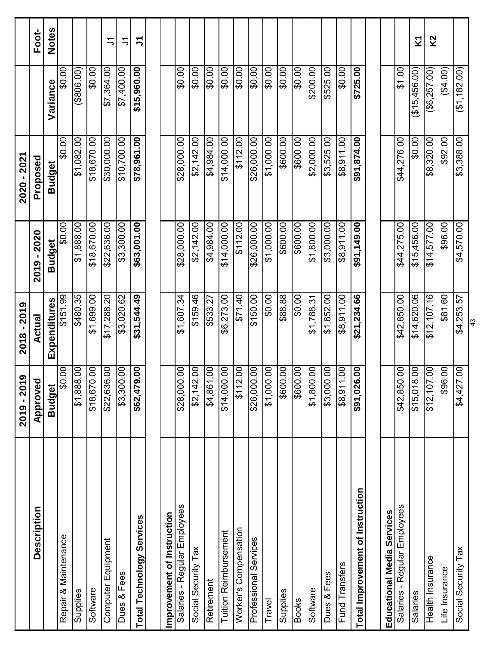|                                  | ග<br>2019 - 201                      | 2018 - 2019   |               | 2020 - 2021   |                 |                  |
|----------------------------------|--------------------------------------|---------------|---------------|---------------|-----------------|------------------|
| Description                      | Approved                             | <b>Actual</b> | 2020<br>2019  | Proposed      |                 | Foot-            |
|                                  | <b>Budget</b>                        | Expenditures  | <b>Budget</b> | <b>Budget</b> | Variance        | <b>Notes</b>     |
| Repair & Maintenance             | 8<br>င္တ                             | \$151.99      | \$0.00        | \$0.00        | \$0.00          |                  |
| Supplies                         | $\mathsf{S}$<br>\$1,888              | \$480.35      | \$1,888.00    | \$1,082.00    | (3806.00)       |                  |
| Software                         | $\overline{00}$<br>\$18,670.         | \$1,699.00    | \$18,670.00   | \$18,670.00   | 00.0\$          |                  |
| Computer Equipment               | S<br>\$22,636                        | \$17,288.20   | \$22,636.00   | \$30,000.00   | \$7,364.00      | ニ                |
| Dues & Fees                      | $\overline{0}$<br>\$3,300            | \$3,020.62    | \$3,300.00    | \$10,700.00   | \$7,400.00      | Ξ                |
| <b>Total Technology Services</b> | 8<br>\$62,479                        | \$31,544.49   | \$63,001.00   | \$78,961.00   | \$15,960.00     | こうしょう こうしゅう こうしゃ |
|                                  |                                      |               |               |               |                 |                  |
| Improvement of Instruction       |                                      |               |               |               |                 |                  |
| Salaries - Regular Employees     | 8<br>\$28,000                        | \$1,607.34    | \$28,000.00   | \$28,000.00   | \$0.00          |                  |
| Social Security Tax              | S.<br>\$2,142                        | \$159.46      | \$2,142.00    | \$2,142.00    | \$0.00          |                  |
| Retirement                       | S<br>\$4,861.                        | \$533.27      | \$4,984.00    | \$4,984.00    | \$0.00          |                  |
| <b>Tuition Reimbursement</b>     | S<br>\$14,000                        | \$6,273.00    | \$14,000.00   | \$14,000.00   | 00.0\$          |                  |
| Worker's Compensation            | S<br>\$112                           | \$71.40       | \$112.00      | \$112.00      | \$0.00          |                  |
| Professional Services            | $\overline{SO}$<br>\$26,000          | \$150.00      | \$26,000.00   | \$26,000.00   | \$0.00          |                  |
| Travel                           | S<br>\$1,000.                        | \$0.00        | \$1,000.00    | \$1,000.00    | \$0.00          |                  |
| Supplies                         | $\mathsf{S}$<br>\$600.               | \$88.88       | \$600.00      | \$600.00      | \$0.00          |                  |
| <b>Books</b>                     | S<br>$\overline{\phantom{0}}$ \$600. | \$0.00        | \$600.00      | \$600.00      | \$0.00          |                  |
| Software                         | S<br>\$1,800                         | \$1,788.31    | \$1,800.00    | \$2,000.00    | \$200.00        |                  |
| Dues & Fees                      | $\mathsf{S}$<br>\$3,000.             | \$1,652.00    | \$3,000.00    | \$3,525.00    | \$525.00        |                  |
| Fund Transfers                   | 00<br>$$8,911$ .                     | \$8,911.00    | \$8,911.00    | \$8,911.00    | \$0.00          |                  |
| Total Improvement of Instruction | $\mathbf{S}$<br>\$91,026             | \$21,234.66   | \$91,149.00   | \$91,874.00   | \$725.00        |                  |
|                                  |                                      |               |               |               |                 |                  |
| Educational Media Services       |                                      |               |               |               |                 |                  |
| Salaries - Regular Employees     | S<br>\$42,850                        | \$42,850.00   | \$44,275.00   | \$44,276.00   | \$1.00          |                  |
| Salaries                         | $\mathcal{S}$<br>\$15,018            | \$14,620.06   | \$15,456.00   | \$0.00        | (15, 456.00)    | Σ                |
| Health Insurance                 | S<br>\$12,107                        | \$12,107.16   | \$14,577.00   | \$8,320.00    | $($ \$6,257.00) | K <sub>2</sub>   |
| Life Insurance                   | S<br>\$96.                           | \$81.60       | \$96.00       | \$92.00       | (64.00)         |                  |
| Social Security Tax              | $\mathcal{S}$<br>\$4,427.            | \$4,253.57    | \$4,570.00    | \$3,388.00    | (61, 182.00)    |                  |
|                                  |                                      | 43            |               |               |                 |                  |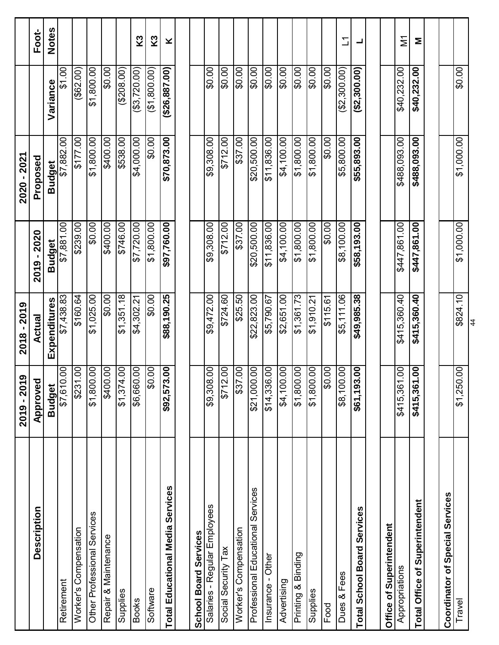|                                    | 6<br>2019 - 201           | $2018 - 2019$ |                 | 2020 - 2021   |                               |              |
|------------------------------------|---------------------------|---------------|-----------------|---------------|-------------------------------|--------------|
| Description                        | Approved                  | Actual        | $-2020$<br>2019 | Proposed      |                               | Foot-        |
|                                    | <b>Budget</b>             | Expenditures  | <b>Budget</b>   | <b>Budget</b> | Variance                      | <b>Notes</b> |
| Retirement                         | $\overline{0}$<br>\$7,610 | \$7,438.83    | \$7,881.00      | \$7,882.00    | \$1.00                        |              |
| Worker's Compensation              | S<br>\$231                | \$160.64      | \$239.00        | \$177.00      | $($ \$62.00)                  |              |
| Other Professional Services        | OO.<br>\$1,800            | \$1,025.00    | \$0.00          | \$1,800.00    | \$1,800.00                    |              |
| Repair & Maintenance               | 00.<br>\$400              | \$0.00        | 00.00           | 00.00\$       | \$0.00                        |              |
| Supplies                           | S<br>\$1,374              | \$1,351.18    | \$746.00        | \$538.00      | (208.00)                      |              |
| <b>Books</b>                       | OO.<br>\$6,660            | \$4,302.21    | \$7,720.00      | \$4,000.00    | $($ \$3,720.00)               | K3           |
| Software                           | S<br>င္တ                  | \$0.00        | \$1,800.00      | \$0.00        | (\$1,800.00)                  | K3           |
| Total Educational Media Services   | .00<br>\$92,573           | \$88,190.25   | \$97,760.00     | \$70,873.00   | (\$26,887.00)                 | ×            |
|                                    |                           |               |                 |               |                               |              |
| School Board Services              |                           |               |                 |               |                               |              |
| Salaries - Regular Employees       | $\frac{8}{10}$<br>\$9,308 | \$9,472.00    | \$9,308.00      | \$9,308.00    | \$0.00                        |              |
| Social Security Tax                | S<br>\$712                | \$724.60      | \$712.00        | \$712.00      | \$0.00                        |              |
| Worker's Compensation              | $\overline{0}$<br>\$37    | \$25.50       | \$37.00         | \$37.00       | \$0.00                        |              |
| Professional Educational Services  | 00.1<br>\$21,000          | \$22,823.00   | \$20,500.00     | \$20,500.00   | \$0.00                        |              |
| Insurance - Other                  | S<br>\$14,336             | \$5,790.67    | \$11,836.00     | \$11,836.00   | \$0.00                        |              |
| Advertising                        | 00<br>\$4,100             | \$2,651.00    | \$4,100.00      | \$4,100.00    | \$0.00                        |              |
| Printing & Binding                 | S<br>008'1\$              | \$1,361.73    | \$1,800.00      | \$1,800.00    | $\overline{\phantom{0}50.00}$ |              |
| Supplies                           | OO.<br>\$1,800            | \$1,910.21    | \$1,800.00      | \$1,800.00    | \$0.00                        |              |
| Food                               | $\overline{5}$<br>င္တ     | \$115.61      | \$0.00          | \$0.00        | \$0.00                        |              |
| Dues & Fees                        | 00<br>\$8,100             | \$5,111.06    | \$8,100.00      | \$5,800.00    | (\$2,300.00)                  | ℶ            |
| <b>Total School Board Services</b> | OO.<br>\$61,193           | \$49,985.38   | \$58,193.00     | \$55,893.00   | (52,300.00)                   | ᆜ            |
|                                    |                           |               |                 |               |                               |              |
| Office of Superintendent           |                           |               |                 |               |                               |              |
| Appropriations                     | OO.<br>\$415,361          | \$415,360.40  | \$447,861.00    | \$488,093.00  | \$40,232.00                   | ΣÎ           |
| Total Office of Superintendent     | .00<br>\$415,361          | \$415,360.40  | \$447,861.00    | \$488,093.00  | \$40,232.00                   | Σ            |
|                                    |                           |               |                 |               |                               |              |
| Coordinator of Special Services    |                           |               |                 |               |                               |              |
| Travel                             | \$1,250.00                | \$824.10      | \$1,000.00      | \$1,000.00    | \$0.00                        |              |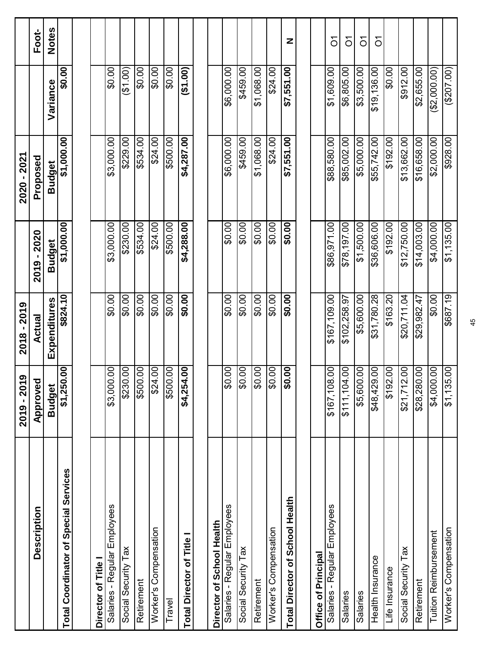|                                       | ග<br>2019 - 201             | 2018 - 2019         |               | 2020 - 2021   |             |                |
|---------------------------------------|-----------------------------|---------------------|---------------|---------------|-------------|----------------|
| Description                           | Approvec                    | Actual              | 2019 - 2020   | Proposed      |             | Foot-          |
|                                       | <b>Budget</b>               | <b>Expenditures</b> | <b>Budget</b> | <b>Budget</b> | Variance    | <b>Notes</b>   |
| Total Coordinator of Special Services | .00<br>\$1,250              | \$824.10            | \$1,000.00    | \$1,000.00    | \$0.00      |                |
|                                       |                             |                     |               |               |             |                |
| Director of Title                     |                             |                     |               |               |             |                |
| Salaries - Regular Employees          | OO.<br>\$3,000              | \$0.00              | \$3,000.00    | \$3,000.00    | \$0.00      |                |
| Social Security Tax                   | S<br>\$230                  | \$0.00              | \$230.00      | \$229.00      | (61.00)     |                |
| Retirement                            | S.<br>\$500                 | \$0.00              | \$534.00      | \$534.00      | \$0.00      |                |
| Worker's Compensation                 | S.<br>\$24                  | \$0.00              | \$24.00       | \$24.00       | \$0.00      |                |
| Travel                                | S<br>\$500                  | \$0.00              | \$500.00      | \$500.00      | \$0.00      |                |
| Total Director of Title I             | $\overline{0}$<br>\$4,254   | \$0.00              | \$4,288.00    | \$4,287.00    | (61.00)     |                |
|                                       |                             |                     |               |               |             |                |
| Director of School Health             |                             |                     |               |               |             |                |
| Salaries - Regular Employees          | S.<br>$\frac{6}{2}$         | \$0.00              | \$0.00        | \$6,000.00    | \$6,000.00  |                |
| Social Security Tax                   | S<br>င္တ                    | \$0.00              | \$0.00        | \$459.00      | \$459.00    |                |
| Retirement                            | OO.<br>$\frac{6}{2}$        | \$0.00              | \$0.00        | \$1,068.00    | \$1,068.00  |                |
| Worker's Compensation                 | $\overline{0}$<br>င္တ       | \$0.00              | \$0.00        | \$24.00       | \$24.00     |                |
| Total Director of School Health       | $\overline{0}$<br>န္တ       | \$0.00              | \$0.00        | \$7,551.00    | \$7,551.00  | Z              |
|                                       |                             |                     |               |               |             |                |
| Office of Principal                   |                             |                     |               |               |             |                |
| Salaries - Regular Employees          | $\frac{8}{10}$<br>\$167,108 | \$167,109.00        | \$86,971.00   | \$88,580.00   | \$1,609.00  | δ              |
| Salaries                              | OO.<br>\$11,104             | \$102,258.97        | \$78,197.00   | \$85,002.00   | \$6,805.00  | $\delta$       |
| Salaries                              | OO.<br>\$5,600              | \$5,600.00          | \$1,500.00    | \$5,000.00    | \$3,500.00  | $\overline{O}$ |
| Health Insurance                      | S<br>\$48,429.              | \$31,780.28         | \$36,606.00   | \$55,742.00   | \$19,136.00 | $\overline{O}$ |
| Life Insurance                        | $\overline{0}$<br>\$192     | \$163.20            | \$192.00      | \$192.00      | \$0.00      |                |
| Social Security Tax                   | S<br>\$21,712               | \$20,711.04         | \$12,750.00   | \$13,662.00   | \$912.00    |                |
| Retirement                            | S<br>\$28,280               | \$29,982.47         | \$14,003.00   | \$16,658.00   | \$2,655.00  |                |
| <b>Tuition Reimbursement</b>          | S.<br>\$4,000               | \$0.00              | \$4,000.00    | \$2,000.00    | (2,000.00)  |                |
| Worker's Compensation                 | 00<br>\$1,135               | \$687.19            | \$1,135.00    | \$928.00      | (207.00)    |                |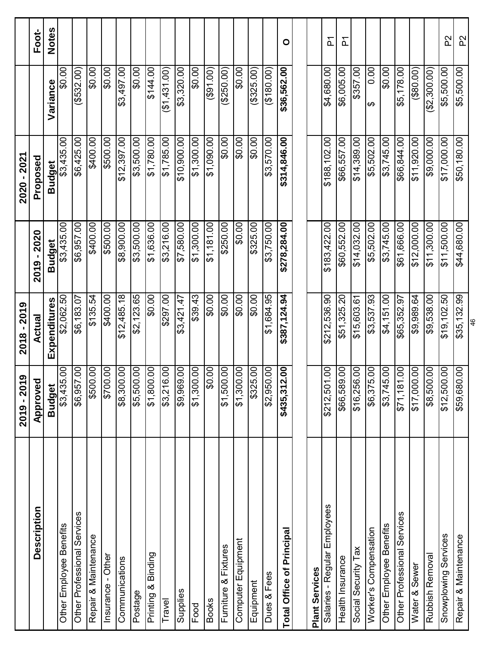|                              | ග<br>2019 - 201               | 2018 - 2019              |               | 2020 - 2021   |                 |                     |
|------------------------------|-------------------------------|--------------------------|---------------|---------------|-----------------|---------------------|
| Description                  | Approved                      | <b>Actual</b>            | 2019 - 2020   | Proposed      |                 | Foot-               |
|                              | <b>Budget</b>                 | Expenditures             | <b>Budget</b> | <b>Budget</b> | Variance        | <b>Notes</b>        |
| Other Employee Benefits      | 8<br>\$3,435                  | \$2,062.50               | \$3,435.00    | \$3,435.00    | \$0.00          |                     |
| Other Professional Services  | $\overline{0}$<br>\$6,957     | \$6,183.07               | \$6,957.00    | \$6,425.00    | $($ \$532.00)   |                     |
| Repair & Maintenance         | $\overline{6}$<br>\$500.      | \$135.54                 | \$400.00      | 6400.00       | \$0.00          |                     |
| Insurance - Other            | $\mathsf{S}$<br>\$700.        | \$400.00                 | \$500.00      | \$500.00      | \$0.00          |                     |
| Communications               | $\mathsf{S}$<br>\$8,300.      | \$12,485.18              | \$8,900.00    | \$12,397.00   | \$3,497.00      |                     |
| Postage                      | $\overline{0}$<br>\$5,500.    | \$2,123.65               | \$3,500.00    | \$3,500.00    | \$0.00          |                     |
| Printing & Binding           | S<br>\$1,800.                 | \$0.00                   | \$1,636.00    | \$1,780.00    | \$144.00        |                     |
| Travel                       | $\mathbf{S}$<br>\$3,216.      | \$297.00                 | \$3,216.00    | \$1,785.00    | (61, 431.00)    |                     |
| Supplies                     | S<br>\$9,969.                 | \$3,421.47               | \$7,580.00    | \$10,900.00   | \$3,320.00      |                     |
| Food                         | $\overline{00}$<br>\$1,300.   | \$39.43                  | \$1,300.00    | \$1,300.00    | \$0.00          |                     |
| <b>Books</b>                 | S<br>င္တ                      | $\overline{\phantom{0}}$ | \$1,181.00    | \$1,090.00    | (901.00)        |                     |
| Furniture & Fixtures         | S<br>\$1,500                  | \$0.00                   | \$250.00      | \$0.00        | (250.00)        |                     |
| Computer Equipment           | S<br>\$1,300.                 | \$0.00                   | \$0.00        | \$0.00        | \$0.00          |                     |
| Equipment                    | OO.<br>\$325.                 | \$0.00                   | \$325.00      | \$0.00        | (\$325.00)      |                     |
| Dues & Fees                  | S<br>\$2,950                  | \$1,684.95               | \$3,750.00    | \$3,570.00    | (5180.00)       |                     |
| Total Office of Principal    | $\mathbf{S}$<br>\$435,312     | \$387,124.94             | \$278,284.00  | \$314,846.00  | \$36,562.00     | $\circ$             |
|                              |                               |                          |               |               |                 |                     |
| <b>Plant Services</b>        |                               |                          |               |               |                 |                     |
| Salaries - Regular Employees | $\mathsf{S}$<br>\$212,501     | \$212,536.90             | \$183,422.00  | \$188,102.00  | \$4,680.00      | $\overline{\Delta}$ |
| Health Insurance             | $\mathcal{S}_{0}$<br>\$66,589 | \$51,325.20              | \$60,552.00   | \$66,557.00   | \$6,005.00      | $\overline{a}$      |
| Social Security Tax          | $\overline{00}$<br>\$16,256   | \$15,603.61              | \$14,032.00   | \$14,389.00   | \$357.00        |                     |
| Worker's Compensation        | S<br>\$6,375.                 | \$3,537.93               | \$5,502.00    | \$5,502.00    | 0.00<br>↮       |                     |
| Other Employee Benefits      | $\mathcal{S}$<br>\$3,745.     | \$4,151.00               | \$3,745.00    | \$3,745.00    | \$0.00          |                     |
| Other Professional Services  | $\infty$<br>\$71,181          | \$65,352.97              | \$61,666.00   | \$66,844.00   | \$5,178.00      |                     |
| Water & Sewer                | S<br>\$17,000.                | \$9,989.64               | \$12,000.00   | \$11,920.00   | $($ \$80.00 $)$ |                     |
| Rubbish Removal              | S<br>\$8,500.                 | \$9,538.00               | \$11,300.00   | \$9,000.00    | (\$2,300.00)    |                     |
| Snowplowing Services         | S<br>\$12,500                 | \$19,102.50              | \$11,500.00   | \$17,000.00   | \$5,500.00      | P2                  |
| Repair & Maintenance         | $\mathcal{S}$<br>\$59,680     | \$35,132.99              | \$44,680.00   | \$50,180.00   | \$5,500.00      | P2                  |
|                              |                               | 46                       |               |               |                 |                     |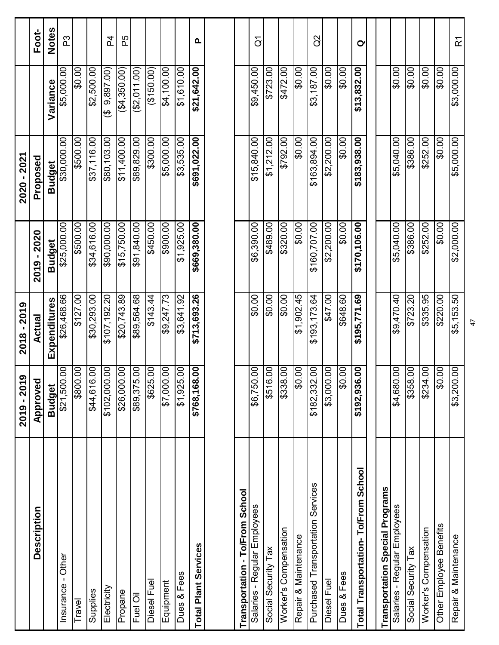|                                        | ග<br>2019 - 201             | 2018 - 2019  |               | 2020 - 2021   |                                      |                  |
|----------------------------------------|-----------------------------|--------------|---------------|---------------|--------------------------------------|------------------|
| Description                            | Approved                    | Actual       | 2019 - 2020   | Proposed      |                                      | Foot-            |
|                                        | <b>Budget</b>               | Expenditures | <b>Budget</b> | <b>Budget</b> | Variance                             | <b>Notes</b>     |
| Insurance - Other                      | $\overline{0}$<br>\$21,500  | \$26,468.66  | \$25,000.00   | \$30,000.00   | \$5,000.00                           | ဥ                |
| Travel                                 | 00<br>$\frac{2}{3800}$      | \$127.00     | \$500.00      | \$500.00      | \$0.00                               |                  |
| Supplies                               | 00<br>\$44,616              | \$30,293.00  | \$34,616.00   | \$37,116.00   | \$2,500.00                           |                  |
| Electricity                            | OO.<br>\$102,000            | \$107,192.20 | \$90,000.00   | \$80,103.00   | 9,897.00)<br>$\overline{\mathbf{e}}$ | 54               |
| Propane                                | $\overline{0}$<br>\$26,000. | \$20,743.89  | \$15,750.00   | \$11,400.00   | (\$4,350.00)                         | ЪS               |
| Fuel Oil                               | S<br>\$89,375               | \$89,564.68  | \$91,840.00   | \$89,829.00   | (\$2,011.00)                         |                  |
| Diesel Fuel                            | S<br>$$625$ .               | \$143.44     | \$450.00      | \$300.00      | (150.00)                             |                  |
| Equipment                              | OO.<br>\$7,000.             | \$9,247.73   | \$900.00      | \$5,000.00    | \$4,100.00                           |                  |
| Dues & Fees                            | S<br>\$1,925.               | \$3,641.92   | \$1,925.00    | \$3,535.00    | \$1,610.00                           |                  |
| <b>Total Plant Services</b>            | .00<br>\$768,168            | \$713,693.26 | \$669,380.00  | \$691,022.00  | \$21,642.00                          | Q,               |
|                                        |                             |              |               |               |                                      |                  |
| Transportation - To/From School        |                             |              |               |               |                                      |                  |
| Salaries - Regular Employees           | S.<br>\$6,750.              | \$0.00       | \$6,390.00    | \$15,840.00   | \$9,450.00                           | $\overline{G}$   |
| Social Security Tax                    | S<br>\$516.                 | \$0.00       | \$489.00      | \$1,212.00    | \$723.00                             |                  |
| Worker's Compensation                  | OO.<br>\$338.               | \$0.00       | \$320.00      | \$792.00      | \$472.00                             |                  |
| Repair & Maintenance                   | S.<br>\$O                   | \$1,902.45   | \$0.00        | \$0.00        | \$0.00                               |                  |
| Purchased Transportation Services      | OO.<br>\$182,332            | \$193,173.64 | \$160,707.00  | \$163,894.00  | \$3,187.00                           | 3<br>C           |
| Diesel Fuel                            | OO.<br>\$3,000.             | \$47.00      | \$2,200.00    | \$2,200.00    | \$0.00                               |                  |
| Dues & Fees                            | OO.<br>œ                    | \$648.60     | \$0.00        | \$0.00        | \$0.00                               |                  |
| Total Transportation-To/From School    | 8.<br>\$192,936             | \$195,771.69 | \$170,106.00  | \$183,938.00  | \$13,832.00                          | $\sigma$         |
| <b>Transportation Special Programs</b> |                             |              |               |               |                                      |                  |
| Salaries - Regular Employees           | S<br>\$4,680.               | \$9,470.40   | \$5,040.00    | \$5,040.00    | \$0.00                               |                  |
| Social Security Tax                    | S<br>\$358.                 | \$723.20     | \$386.00      | \$386.00      | \$0.00                               |                  |
| Worker's Compensation                  | S<br>\$234.                 | \$335.95     | \$252.00      | \$252.00      | \$0.00                               |                  |
| Other Employee Benefits                | 00<br>œ                     | \$220.00     | \$0.00        | \$0.00        | \$0.00                               |                  |
| Repair & Maintenance                   | $\overline{00}$<br>\$3,200. | \$5,153.50   | \$2,000.00    | \$5,000.00    | \$3,000.00                           | $\tilde{\simeq}$ |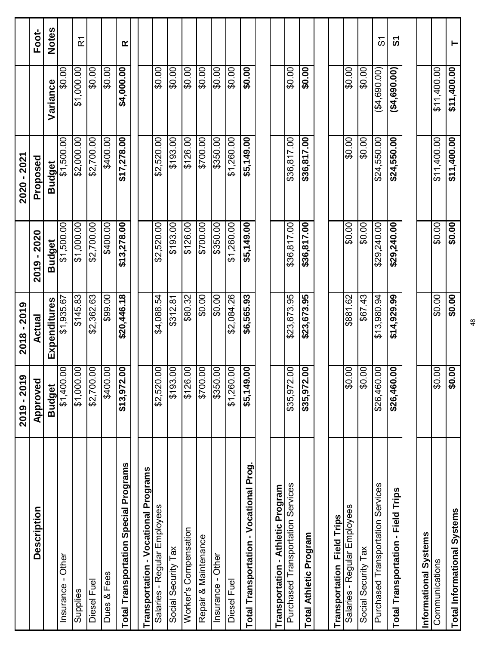|                                              | ၜ<br>2019 - 201                  | 2018 - 2019   |               | 2020 - 2021   |             |                      |
|----------------------------------------------|----------------------------------|---------------|---------------|---------------|-------------|----------------------|
| Description                                  | Approved                         | <b>Actual</b> | 2019 - 2020   | Proposed      |             | Foot-                |
|                                              | <b>Budget</b>                    | Expenditures  | <b>Budget</b> | <b>Budget</b> | Variance    | <b>Notes</b>         |
| Insurance - Other                            | S<br>\$1,400                     | \$1,935.67    | \$1,500.00    | \$1,500.00    | \$0.00      |                      |
| Supplies                                     | S<br>\$1,000.                    | \$145.83      | \$1,000.00    | \$2,000.00    | \$1,000.00  | $\tilde{\mathbf{r}}$ |
| Diesel Fuel                                  | OO.<br>\$2,700                   | \$2,362.63    | \$2,700.00    | \$2,700.00    | \$0.00      |                      |
| Dues & Fees                                  | OO.<br>\$400                     | \$99.00       | \$400.00      | 00.001\$      | 00.0\$      |                      |
| <b>Total Transportation Special Programs</b> | .00<br>\$13,972                  | \$20,446.18   | \$13,278.00   | \$17,278.00   | \$4,000.00  | œ                    |
| Transportation - Vocational Programs         |                                  |               |               |               |             |                      |
| Salaries - Regular Employees                 | OO.<br>\$2,520                   | \$4,088.54    | \$2,520.00    | \$2,520.00    | \$0.00      |                      |
| Social Security Tax                          | S<br>\$193                       | \$312.81      | \$193.00      | \$193.00      | \$0.00      |                      |
| Worker's Compensation                        | $\overline{00}$<br>$rac{126}{ }$ | \$80.32       | \$126.00      | \$126.00      | 60.00       |                      |
| Repair & Maintenance                         | OO.<br>\$700                     | \$0.00        | \$700.00      | \$700.00      | \$0.00      |                      |
| Insurance - Other                            | S<br>\$350                       | \$0.00        | \$350.00      | \$350.00      | 60.00       |                      |
| Diesel Fuel                                  | S<br>\$1,260                     | \$2,084.26    | \$1,260.00    | \$1,260.00    | \$0.00      |                      |
| Total Transportation - Vocational Prog.      | OO.<br>\$5,149.                  | \$6,565.93    | \$5,149.00    | \$5,149.00    | \$0.00      |                      |
|                                              |                                  |               |               |               |             |                      |
| Transportation - Athletic Program            |                                  |               |               |               |             |                      |
| Purchased Transportation Services            | OO.<br>\$35,972.                 | \$23,673.95   | \$36,817.00   | \$36,817.00   | \$0.00      |                      |
| <b>Total Athletic Program</b>                | OO.<br>\$35,972                  | \$23,673.95   | \$36,817.00   | \$36,817.00   | \$0.00      |                      |
|                                              |                                  |               |               |               |             |                      |
| Transportation Field Trips                   |                                  |               |               |               |             |                      |
| Salaries - Regular Employees                 | S<br>$\boldsymbol{\mathsf{S}}$   | \$881.62      | \$0.00        | \$0.00        | \$0.00]     |                      |
| Social Security Tax                          | OO.<br>$\frac{8}{2}$             | \$67.43       | \$0.00        | 00.0\$        | 00.0\$      |                      |
| Purchased Transportation Services            | OO.<br>\$26,460                  | \$13,980.94   | \$29,240.00   | \$24,550.00   | (44,690.00) | စ်                   |
| Total Transportation - Field Trips           | .00<br>\$26,460                  | \$14,929.99   | \$29,240.00   | \$24,550.00   | (4,690.00)  | უ                    |
|                                              |                                  |               |               |               |             |                      |
| Informational Systems                        |                                  |               |               |               |             |                      |
| Communications                               | OO.<br>œ                         | \$0.00        | \$0.00        | \$11,400.00   | \$11,400.00 |                      |
| <b>Total Informational Systems</b>           | $\overline{5}$<br>\$             | \$0.00        | \$0.00]       | \$11,400.00   | \$11,400.00 | ۳                    |